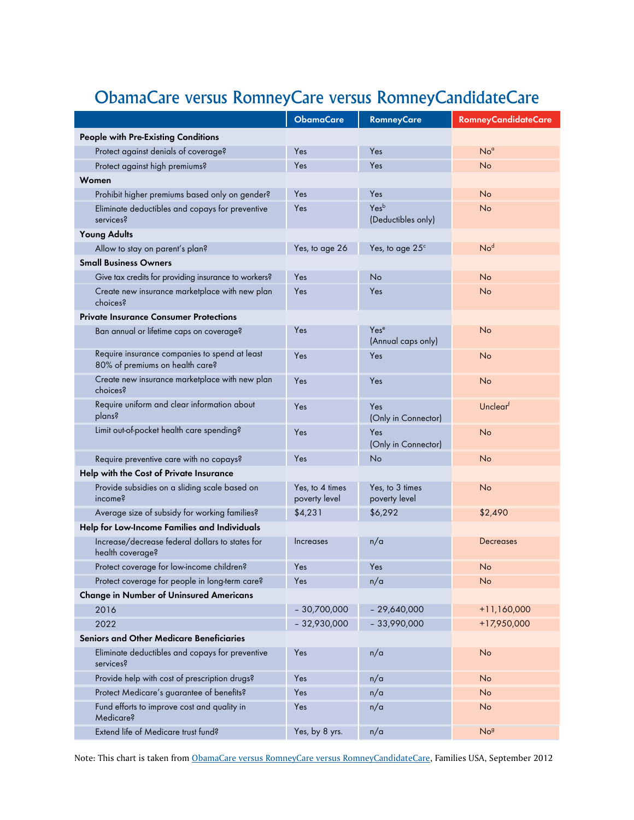## ObamaCare versus RomneyCare versus RomneyCandidateCare

|                                                                                  | <b>ObamaCare</b>                 | <b>RomneyCare</b>                      | <b>RomneyCandidateCare</b> |
|----------------------------------------------------------------------------------|----------------------------------|----------------------------------------|----------------------------|
| <b>People with Pre-Existing Conditions</b>                                       |                                  |                                        |                            |
| Protect against denials of coverage?                                             | Yes                              | Yes                                    | No <sup>a</sup>            |
| Protect against high premiums?                                                   | Yes                              | Yes                                    | No                         |
| Women                                                                            |                                  |                                        |                            |
| Prohibit higher premiums based only on gender?                                   | Yes                              | Yes                                    | No                         |
| Eliminate deductibles and copays for preventive<br>services?                     | Yes                              | Yesb<br>(Deductibles only)             | No                         |
| <b>Young Adults</b>                                                              |                                  |                                        |                            |
| Allow to stay on parent's plan?                                                  | Yes, to age 26                   | Yes, to age $25c$                      | No <sup>d</sup>            |
| <b>Small Business Owners</b>                                                     |                                  |                                        |                            |
| Give tax credits for providing insurance to workers?                             | Yes                              | No                                     | No                         |
| Create new insurance marketplace with new plan<br>choices?                       | Yes                              | Yes                                    | No                         |
| <b>Private Insurance Consumer Protections</b>                                    |                                  |                                        |                            |
| Ban annual or lifetime caps on coverage?                                         | Yes                              | Yes <sup>e</sup><br>(Annual caps only) | No                         |
| Require insurance companies to spend at least<br>80% of premiums on health care? | Yes                              | Yes                                    | No                         |
| Create new insurance marketplace with new plan<br>choices?                       | Yes                              | Yes                                    | No                         |
| Require uniform and clear information about<br>plans?                            | Yes                              | Yes<br>(Only in Connector)             | Unclearf                   |
| Limit out-of-pocket health care spending?                                        | Yes                              | Yes<br>(Only in Connector)             | No                         |
| Require preventive care with no copays?                                          | Yes                              | No                                     | No                         |
| Help with the Cost of Private Insurance                                          |                                  |                                        |                            |
| Provide subsidies on a sliding scale based on<br>income?                         | Yes, to 4 times<br>poverty level | Yes, to 3 times<br>poverty level       | No                         |
| Average size of subsidy for working families?                                    | \$4,231                          | \$6,292                                | \$2,490                    |
| Help for Low-Income Families and Individuals                                     |                                  |                                        |                            |
| Increase/decrease federal dollars to states for<br>health coverage?              | Increases                        | n/a                                    | <b>Decreases</b>           |
| Protect coverage for low-income children?                                        | Yes                              | Yes                                    | No                         |
| Protect coverage for people in long-term care?                                   | Yes                              | n/a                                    | No                         |
| <b>Change in Number of Uninsured Americans</b>                                   |                                  |                                        |                            |
| 2016                                                                             | $-30,700,000$                    | $-29,640,000$                          | $+11,160,000$              |
| 2022                                                                             | $-32,930,000$                    | $-33,990,000$                          | +17,950,000                |
| <b>Seniors and Other Medicare Beneficiaries</b>                                  |                                  |                                        |                            |
| Eliminate deductibles and copays for preventive<br>services?                     | Yes                              | n/a                                    | No                         |
| Provide help with cost of prescription drugs?                                    | Yes                              | n/a                                    | No                         |
| Protect Medicare's guarantee of benefits?                                        | Yes                              | n/a                                    | No                         |
| Fund efforts to improve cost and quality in<br>Medicare?                         | Yes                              | n/a                                    | No                         |
| Extend life of Medicare trust fund?                                              | Yes, by 8 yrs.                   | n/a                                    | No <sup>g</sup>            |

Note: This chart is taken from [ObamaCare versus RomneyCare versus RomneyCandidateCare](http://www.familiesusac4.org/2012-health-care-comparison), Families USA, September 2012